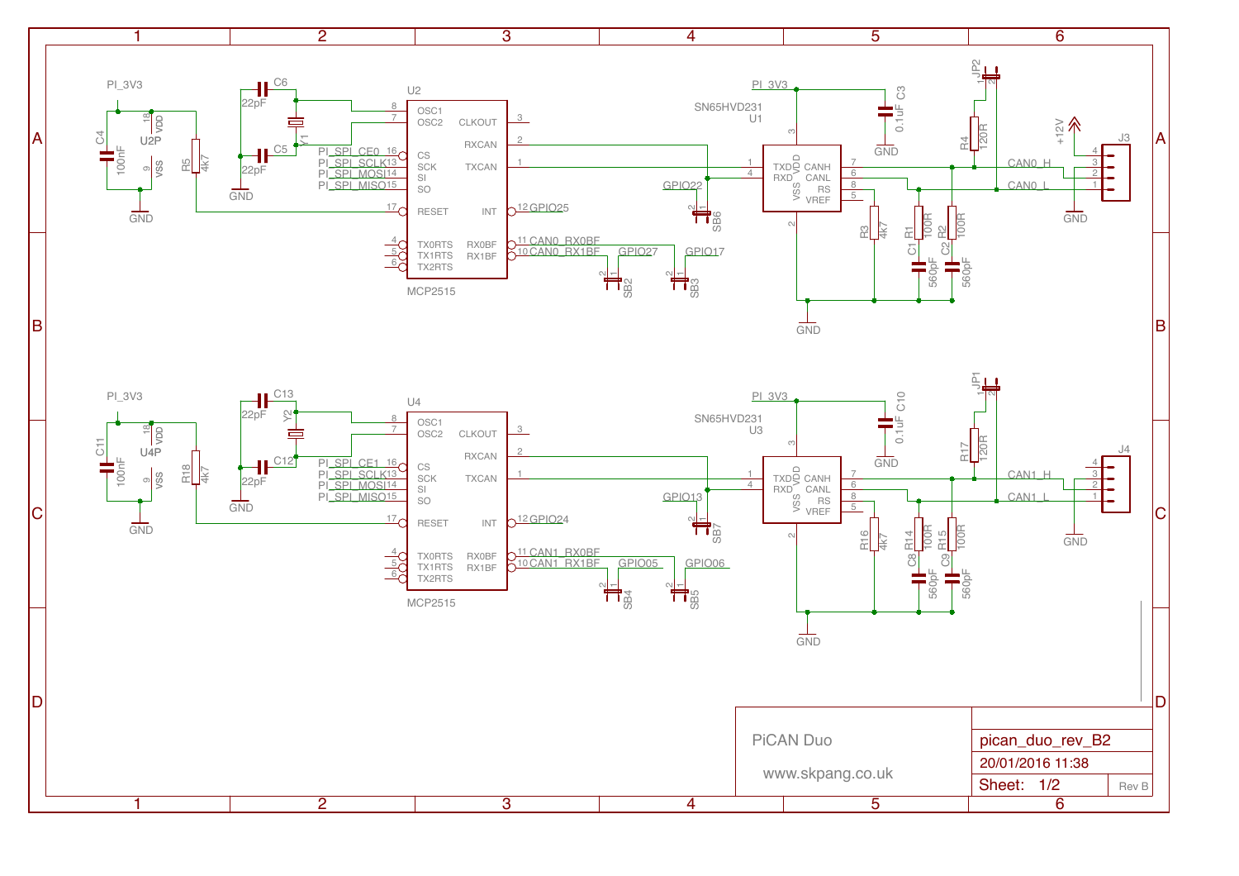